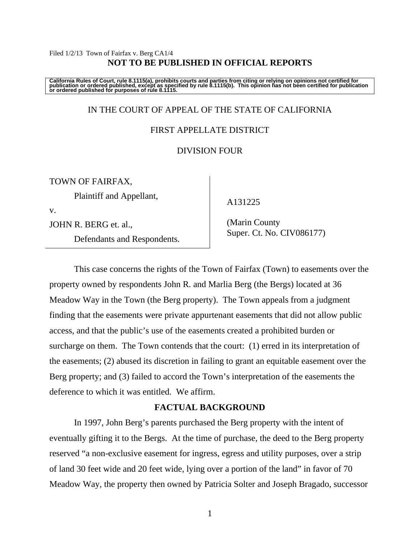#### Filed 1/2/13 Town of Fairfax v. Berg CA1/4 **NOT TO BE PUBLISHED IN OFFICIAL REPORTS**

California Rules of Court, rule 8.1115(a), prohibits courts and parties from citing or relying on opinions not certified for<br>publication or ordered published, except as specified by rule 8.1115(b). This opinion has not be

## IN THE COURT OF APPEAL OF THE STATE OF CALIFORNIA

### FIRST APPELLATE DISTRICT

## DIVISION FOUR

TOWN OF FAIRFAX,

Plaintiff and Appellant,

v.

JOHN R. BERG et. al.,

Defendants and Respondents.

A131225

 (Marin County Super. Ct. No. CIV086177)

 This case concerns the rights of the Town of Fairfax (Town) to easements over the property owned by respondents John R. and Marlia Berg (the Bergs) located at 36 Meadow Way in the Town (the Berg property). The Town appeals from a judgment finding that the easements were private appurtenant easements that did not allow public access, and that the public's use of the easements created a prohibited burden or surcharge on them. The Town contends that the court: (1) erred in its interpretation of the easements; (2) abused its discretion in failing to grant an equitable easement over the Berg property; and (3) failed to accord the Town's interpretation of the easements the deference to which it was entitled. We affirm.

## **FACTUAL BACKGROUND**

 In 1997, John Berg's parents purchased the Berg property with the intent of eventually gifting it to the Bergs. At the time of purchase, the deed to the Berg property reserved "a non-exclusive easement for ingress, egress and utility purposes, over a strip of land 30 feet wide and 20 feet wide, lying over a portion of the land" in favor of 70 Meadow Way, the property then owned by Patricia Solter and Joseph Bragado, successor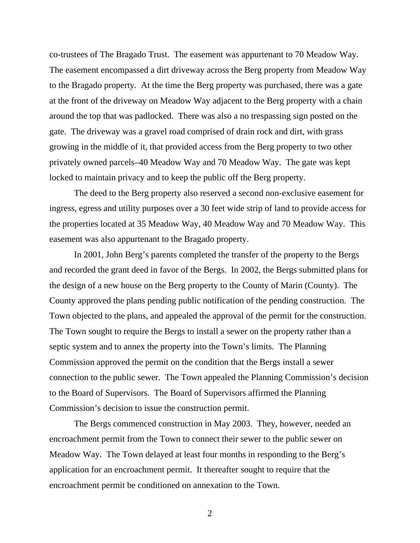co-trustees of The Bragado Trust. The easement was appurtenant to 70 Meadow Way. The easement encompassed a dirt driveway across the Berg property from Meadow Way to the Bragado property. At the time the Berg property was purchased, there was a gate at the front of the driveway on Meadow Way adjacent to the Berg property with a chain around the top that was padlocked. There was also a no trespassing sign posted on the gate. The driveway was a gravel road comprised of drain rock and dirt, with grass growing in the middle of it, that provided access from the Berg property to two other privately owned parcels–40 Meadow Way and 70 Meadow Way. The gate was kept locked to maintain privacy and to keep the public off the Berg property.

 The deed to the Berg property also reserved a second non-exclusive easement for ingress, egress and utility purposes over a 30 feet wide strip of land to provide access for the properties located at 35 Meadow Way, 40 Meadow Way and 70 Meadow Way. This easement was also appurtenant to the Bragado property.

 In 2001, John Berg's parents completed the transfer of the property to the Bergs and recorded the grant deed in favor of the Bergs. In 2002, the Bergs submitted plans for the design of a new house on the Berg property to the County of Marin (County). The County approved the plans pending public notification of the pending construction. The Town objected to the plans, and appealed the approval of the permit for the construction. The Town sought to require the Bergs to install a sewer on the property rather than a septic system and to annex the property into the Town's limits. The Planning Commission approved the permit on the condition that the Bergs install a sewer connection to the public sewer. The Town appealed the Planning Commission's decision to the Board of Supervisors. The Board of Supervisors affirmed the Planning Commission's decision to issue the construction permit.

 The Bergs commenced construction in May 2003. They, however, needed an encroachment permit from the Town to connect their sewer to the public sewer on Meadow Way. The Town delayed at least four months in responding to the Berg's application for an encroachment permit. It thereafter sought to require that the encroachment permit be conditioned on annexation to the Town.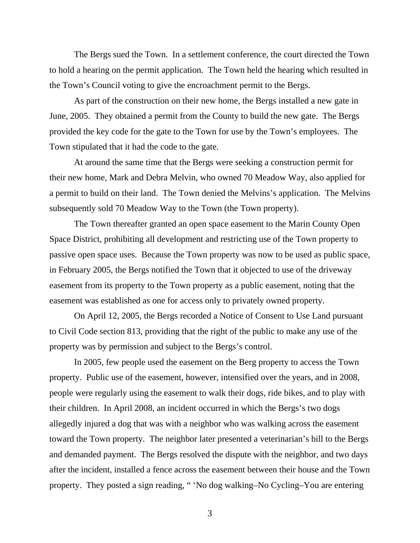The Bergs sued the Town. In a settlement conference, the court directed the Town to hold a hearing on the permit application. The Town held the hearing which resulted in the Town's Council voting to give the encroachment permit to the Bergs.

 As part of the construction on their new home, the Bergs installed a new gate in June, 2005. They obtained a permit from the County to build the new gate. The Bergs provided the key code for the gate to the Town for use by the Town's employees. The Town stipulated that it had the code to the gate.

 At around the same time that the Bergs were seeking a construction permit for their new home, Mark and Debra Melvin, who owned 70 Meadow Way, also applied for a permit to build on their land. The Town denied the Melvins's application. The Melvins subsequently sold 70 Meadow Way to the Town (the Town property).

 The Town thereafter granted an open space easement to the Marin County Open Space District, prohibiting all development and restricting use of the Town property to passive open space uses. Because the Town property was now to be used as public space, in February 2005, the Bergs notified the Town that it objected to use of the driveway easement from its property to the Town property as a public easement, noting that the easement was established as one for access only to privately owned property.

 On April 12, 2005, the Bergs recorded a Notice of Consent to Use Land pursuant to Civil Code section 813, providing that the right of the public to make any use of the property was by permission and subject to the Bergs's control.

 In 2005, few people used the easement on the Berg property to access the Town property. Public use of the easement, however, intensified over the years, and in 2008, people were regularly using the easement to walk their dogs, ride bikes, and to play with their children. In April 2008, an incident occurred in which the Bergs's two dogs allegedly injured a dog that was with a neighbor who was walking across the easement toward the Town property. The neighbor later presented a veterinarian's bill to the Bergs and demanded payment. The Bergs resolved the dispute with the neighbor, and two days after the incident, installed a fence across the easement between their house and the Town property. They posted a sign reading, " 'No dog walking–No Cycling–You are entering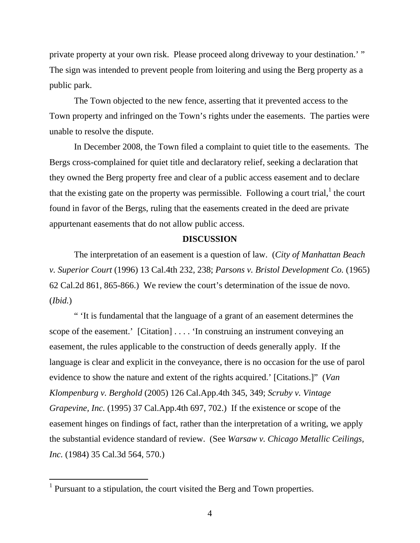private property at your own risk. Please proceed along driveway to your destination.' " The sign was intended to prevent people from loitering and using the Berg property as a public park.

 The Town objected to the new fence, asserting that it prevented access to the Town property and infringed on the Town's rights under the easements. The parties were unable to resolve the dispute.

 In December 2008, the Town filed a complaint to quiet title to the easements. The Bergs cross-complained for quiet title and declaratory relief, seeking a declaration that they owned the Berg property free and clear of a public access easement and to declare that the existing gate on the property was permissible. Following a court trial,  $\text{ }^1$  the court found in favor of the Bergs, ruling that the easements created in the deed are private appurtenant easements that do not allow public access.

#### **DISCUSSION**

 The interpretation of an easement is a question of law. (*City of Manhattan Beach v. Superior Court* (1996) 13 Cal.4th 232, 238; *Parsons v. Bristol Development Co.* (1965) 62 Cal.2d 861, 865-866.) We review the court's determination of the issue de novo. (*Ibid.*)

 " 'It is fundamental that the language of a grant of an easement determines the scope of the easement.' [Citation] . . . . 'In construing an instrument conveying an easement, the rules applicable to the construction of deeds generally apply. If the language is clear and explicit in the conveyance, there is no occasion for the use of parol evidence to show the nature and extent of the rights acquired.' [Citations.]" (*Van Klompenburg v. Berghold* (2005) 126 Cal.App.4th 345, 349; *Scruby v. Vintage Grapevine, Inc.* (1995) 37 Cal.App.4th 697, 702.) If the existence or scope of the easement hinges on findings of fact, rather than the interpretation of a writing, we apply the substantial evidence standard of review. (See *Warsaw v. Chicago Metallic Ceilings, Inc.* (1984) 35 Cal.3d 564, 570.)

<sup>&</sup>lt;sup>1</sup> Pursuant to a stipulation, the court visited the Berg and Town properties.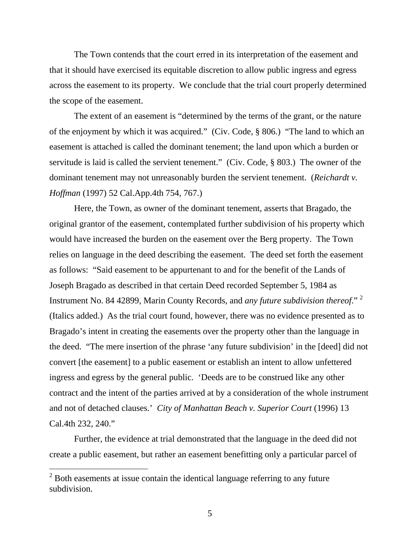The Town contends that the court erred in its interpretation of the easement and that it should have exercised its equitable discretion to allow public ingress and egress across the easement to its property. We conclude that the trial court properly determined the scope of the easement.

 The extent of an easement is "determined by the terms of the grant, or the nature of the enjoyment by which it was acquired." (Civ. Code, § 806.) "The land to which an easement is attached is called the dominant tenement; the land upon which a burden or servitude is laid is called the servient tenement." (Civ. Code, § 803.) The owner of the dominant tenement may not unreasonably burden the servient tenement. (*Reichardt v. Hoffman* (1997) 52 Cal.App.4th 754, 767.)

 Here, the Town, as owner of the dominant tenement, asserts that Bragado, the original grantor of the easement, contemplated further subdivision of his property which would have increased the burden on the easement over the Berg property. The Town relies on language in the deed describing the easement. The deed set forth the easement as follows: "Said easement to be appurtenant to and for the benefit of the Lands of Joseph Bragado as described in that certain Deed recorded September 5, 1984 as Instrument No. 84 42899, Marin County Records, and *any future subdivision thereof*." 2 (Italics added.) As the trial court found, however, there was no evidence presented as to Bragado's intent in creating the easements over the property other than the language in the deed. "The mere insertion of the phrase 'any future subdivision' in the [deed] did not convert [the easement] to a public easement or establish an intent to allow unfettered ingress and egress by the general public. 'Deeds are to be construed like any other contract and the intent of the parties arrived at by a consideration of the whole instrument and not of detached clauses.' *City of Manhattan Beach v. Superior Court* (1996) 13 Cal.4th 232, 240."

 Further, the evidence at trial demonstrated that the language in the deed did not create a public easement, but rather an easement benefitting only a particular parcel of

 $\overline{a}$ 

 $2^{2}$  Both easements at issue contain the identical language referring to any future subdivision.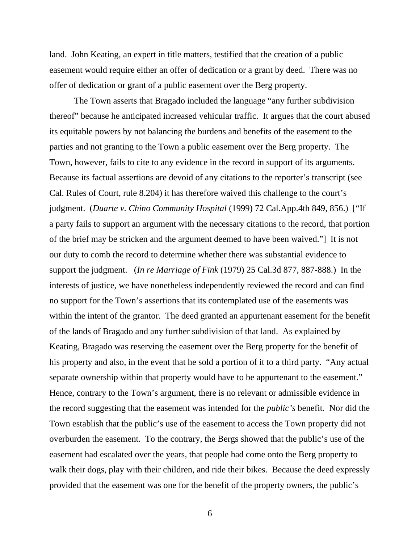land. John Keating, an expert in title matters, testified that the creation of a public easement would require either an offer of dedication or a grant by deed. There was no offer of dedication or grant of a public easement over the Berg property.

 The Town asserts that Bragado included the language "any further subdivision thereof" because he anticipated increased vehicular traffic. It argues that the court abused its equitable powers by not balancing the burdens and benefits of the easement to the parties and not granting to the Town a public easement over the Berg property. The Town, however, fails to cite to any evidence in the record in support of its arguments. Because its factual assertions are devoid of any citations to the reporter's transcript (see Cal. Rules of Court, rule 8.204) it has therefore waived this challenge to the court's judgment. (*Duarte v. Chino Community Hospital* (1999) 72 Cal.App.4th 849, 856.) ["If a party fails to support an argument with the necessary citations to the record, that portion of the brief may be stricken and the argument deemed to have been waived."] It is not our duty to comb the record to determine whether there was substantial evidence to support the judgment. (*In re Marriage of Fink* (1979) 25 Cal.3d 877, 887-888.) In the interests of justice, we have nonetheless independently reviewed the record and can find no support for the Town's assertions that its contemplated use of the easements was within the intent of the grantor. The deed granted an appurtenant easement for the benefit of the lands of Bragado and any further subdivision of that land. As explained by Keating, Bragado was reserving the easement over the Berg property for the benefit of his property and also, in the event that he sold a portion of it to a third party. "Any actual separate ownership within that property would have to be appurtenant to the easement." Hence, contrary to the Town's argument, there is no relevant or admissible evidence in the record suggesting that the easement was intended for the *public's* benefit. Nor did the Town establish that the public's use of the easement to access the Town property did not overburden the easement. To the contrary, the Bergs showed that the public's use of the easement had escalated over the years, that people had come onto the Berg property to walk their dogs, play with their children, and ride their bikes. Because the deed expressly provided that the easement was one for the benefit of the property owners, the public's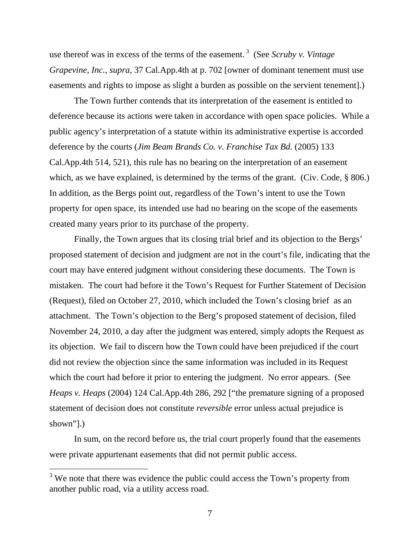use thereof was in excess of the terms of the easement. 3 (See *Scruby v. Vintage Grapevine, Inc.*, *supra*, 37 Cal.App.4th at p. 702 [owner of dominant tenement must use easements and rights to impose as slight a burden as possible on the servient tenement].)

 The Town further contends that its interpretation of the easement is entitled to deference because its actions were taken in accordance with open space policies. While a public agency's interpretation of a statute within its administrative expertise is accorded deference by the courts (*Jim Beam Brands Co. v. Franchise Tax Bd.* (2005) 133 Cal.App.4th 514, 521), this rule has no bearing on the interpretation of an easement which, as we have explained, is determined by the terms of the grant. (Civ. Code, § 806.) In addition, as the Bergs point out, regardless of the Town's intent to use the Town property for open space, its intended use had no bearing on the scope of the easements created many years prior to its purchase of the property.

 Finally, the Town argues that its closing trial brief and its objection to the Bergs' proposed statement of decision and judgment are not in the court's file, indicating that the court may have entered judgment without considering these documents. The Town is mistaken. The court had before it the Town's Request for Further Statement of Decision (Request), filed on October 27, 2010, which included the Town's closing brief as an attachment. The Town's objection to the Berg's proposed statement of decision, filed November 24, 2010, a day after the judgment was entered, simply adopts the Request as its objection. We fail to discern how the Town could have been prejudiced if the court did not review the objection since the same information was included in its Request which the court had before it prior to entering the judgment. No error appears. (See *Heaps v. Heaps* (2004) 124 Cal.App.4th 286, 292 ["the premature signing of a proposed statement of decision does not constitute *reversible* error unless actual prejudice is shown"].)

 In sum, on the record before us, the trial court properly found that the easements were private appurtenant easements that did not permit public access.

 $3$  We note that there was evidence the public could access the Town's property from another public road, via a utility access road.